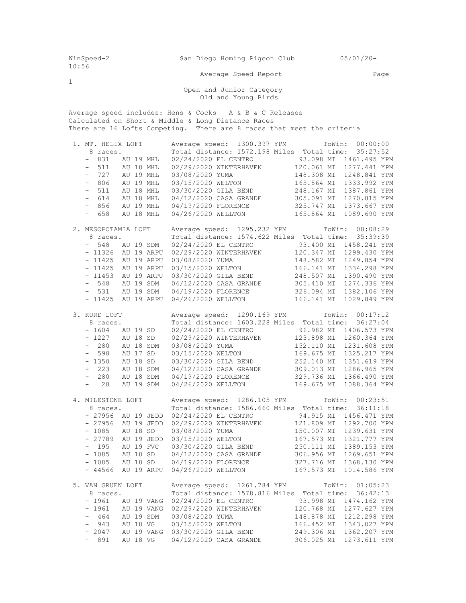| WinSpeed-2<br>10:56                                                                                                                                                                                      |                                                                                                                                                                                                           | San Diego Homing Pigeon Club 05/01/20-                                                                                                                                                                                                                                                                                                                                                                                              |  |  |  |  |  |  |  |
|----------------------------------------------------------------------------------------------------------------------------------------------------------------------------------------------------------|-----------------------------------------------------------------------------------------------------------------------------------------------------------------------------------------------------------|-------------------------------------------------------------------------------------------------------------------------------------------------------------------------------------------------------------------------------------------------------------------------------------------------------------------------------------------------------------------------------------------------------------------------------------|--|--|--|--|--|--|--|
|                                                                                                                                                                                                          | Average Speed Report                                                                                                                                                                                      | Page                                                                                                                                                                                                                                                                                                                                                                                                                                |  |  |  |  |  |  |  |
| 1<br>Open and Junior Category<br>Old and Young Birds                                                                                                                                                     |                                                                                                                                                                                                           |                                                                                                                                                                                                                                                                                                                                                                                                                                     |  |  |  |  |  |  |  |
| Average speed includes: Hens & Cocks A & B & C Releases<br>Calculated on Short & Middle & Long Distance Races<br>There are 16 Lofts Competing. There are 8 races that meet the criteria                  |                                                                                                                                                                                                           |                                                                                                                                                                                                                                                                                                                                                                                                                                     |  |  |  |  |  |  |  |
| 1. MT. HELIX LOFT<br>8 races.<br>- 831 AU 19 MHL<br>$-511$ AU 18 MHL<br>- 727 AU 19 MHL<br>$-856$<br>$-658$                                                                                              | 03/08/2020 YUMA<br>- 806 AU 19 MHL 03/15/2020 WELTON<br>- 511 AU 18 MHL 03/30/2020 GILA BEND<br>- 614 AU 18 MHL 04/12/2020 CASA GRANDE<br>AU 19 MHL 04/19/2020 FLORENCE<br>AU 18 MHL 04/26/2020 WELLTON   | Average speed: 1300.397 YPM ToWin: 00:00:00<br>Total distance: 1572.198 Miles Total time: 35:27:52<br>148.308 MI 1248.841 YPM<br>165.864 MI 1333.992 YPM<br>248.167 MI 1387.861 YPM<br>305.091 MI 1270.815 YPM<br>325.747 MI 1373.667 YPM<br>165.864 MI 1089.690 YPM                                                                                                                                                                |  |  |  |  |  |  |  |
| 2. MESOPOTAMIA LOFT<br>8 races.<br>- 548 AU 19 SDM<br>- 11326 AU 19 ARPU<br>- 11425 AU 19 ARPU<br>- 11425 AU 19 ARPU<br>- 11453 AU 19 ARPU                                                               | Total distance: 1574.622 Miles Total time:<br>03/30/2020 GILA BEND<br>- 548 AU 19 SDM 04/12/2020 CASA GRANDE<br>- 531 AU 19 SDM 04/19/2020 FLORENCE<br>- 11425 AU 19 ARPU 04/26/2020 WELLTON              | Average speed: 1295.232 YPM ToWin: 00:08:29<br>35:39:39<br>02/24/2020 EL CENTRO 93.400 MI 1458.241 YPM<br>02/29/2020 WINTERHAVEN 120.347 MI 1299.430 YPM<br>03/08/2020 YUMA 148.582 MI 1249.854 YPM<br>03/15/2020 WELTON 166.141 MI 1334.298 YPM<br>248.507 MI 1390.490 YPM<br>305.410 MI 1274.336 YPM<br>326.094 MI 1382.106 YPM<br>166.141 MI 1029.849 YPM                                                                        |  |  |  |  |  |  |  |
| 3. KURD LOFT<br>8 races.<br>$-1604$ AU 19 SD<br>$-1227$ AU 18 SD<br>$-280$<br>AU 18 SDM<br>$-598$<br>AU 17 SD<br>$-1350$<br>AU 18 SD<br>$-223$<br>AU 18 SDM<br>$-280$<br>AU 18 SDM<br>$-28$<br>AU 19 SDM | Total distance: 1603.228 Miles Total time:<br>02/24/2020 EL CENTRO<br>03/08/2020 YUMA<br>03/15/2020 WELTON<br>03/30/2020 GILA BEND<br>04/12/2020 CASA GRANDE<br>04/19/2020 FLORENCE<br>04/26/2020 WELLTON | Average speed: 1290.169 YPM ToWin: 00:17:12<br>36:27:04<br>96.982 MI 1406.573 YPM<br>02/29/2020 WINTERHAVEN 123.898 MI 1260.364 YPM<br>152.110 MI 1231.608 YPM<br>169.675 MI 1325.217 YPM<br>252.140 MI 1351.619 YPM<br>309.013 MI 1286.965 YPM<br>329.736 MI 1366.490 YPM<br>169.675 MI<br>1088.364 YPM                                                                                                                            |  |  |  |  |  |  |  |
| 4. MILESTONE LOFT<br>8 races.<br>- 1085 AU 18 SD<br>- 195 AU 19 FVC                                                                                                                                      | Average speed: 1286.105 YPM<br>03/08/2020 YUMA<br>- 27789 AU 19 JEDD 03/15/2020 WELTON<br>03/30/2020 GILA BEND<br>- 1085 AU 18 SD 04/12/2020 CASA GRANDE<br>- 44566 AU 19 ARPU 04/26/2020 WELLTON         | ToWin: 00:23:51<br>Total distance: 1586.660 Miles Total time: 36:11:18<br>- 27956 AU 19 JEDD 02/24/2020 EL CENTRO         94.915 MI 1456.471 YPM<br>- 27956 AU 19 JEDD 02/29/2020 WINTERHAVEN       121.809 MI 1292.700 YPM<br>150.007 MI 1239.631 YPM<br>167.573 MI 1321.777 YPM<br>250.111 MI 1389.153 YPM<br>306.956 MI 1269.651 YPM<br>- 1085 AU 18 SD $04/19/2020$ FLORENCE 327.716 MI 1368.130 YPM<br>167.573 MI 1014.586 YPM |  |  |  |  |  |  |  |
| 5. VAN GRUEN LOFT<br>8 races.<br>- 464 AU 19 SDM 03/08/2020 YUMA<br>$-943$<br>$-2047$                                                                                                                    | Average speed: 1261.784 YPM<br>AU 18 VG 03/15/2020 WELTON<br>AU 19 VANG 03/30/2020 GILA BEND                                                                                                              | ToWin:<br>01:05:23<br>Total distance: 1578.816 Miles Total time: 36:42:13<br>- 1961 AU 19 VANG 02/24/2020 EL CENTRO 33.998 MI 1474.162 YPM<br>- 1961 AU 19 VANG 02/29/2020 WINTERHAVEN 120.768 MI 1277.627 YPM<br>148.878 MI 1212.298 YPM<br>166.452 MI 1343.027 YPM<br>249.306 MI 1362.207 YPM                                                                                                                                     |  |  |  |  |  |  |  |

- 891 AU 18 VG 04/12/2020 CASA GRANDE 306.025 MI 1273.611 YPM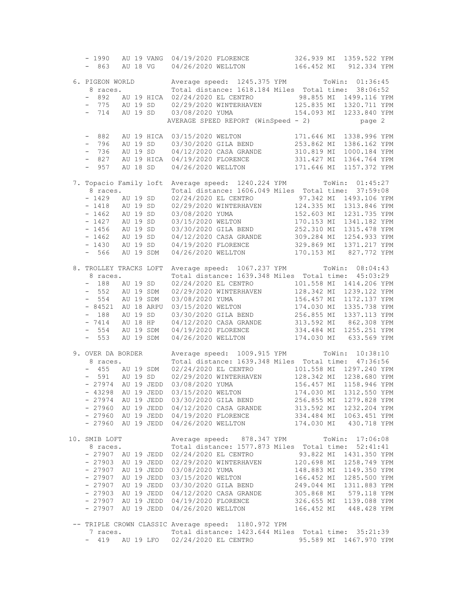| $-1990$                  |          |            | AU 19 VANG 04/19/2020 FLORENCE                                                                                                                                                                                                                   |  |            | 326.939 MI 1359.522 YPM                           |  |
|--------------------------|----------|------------|--------------------------------------------------------------------------------------------------------------------------------------------------------------------------------------------------------------------------------------------------|--|------------|---------------------------------------------------|--|
| - 863                    |          | AU 18 VG   | 04/26/2020 WELLTON 166.452 MI 912.334 YPM                                                                                                                                                                                                        |  |            |                                                   |  |
|                          |          |            |                                                                                                                                                                                                                                                  |  |            |                                                   |  |
| 6. PIGEON WORLD          |          |            | Average speed: 1245.375 YPM ToWin: 01:36:45                                                                                                                                                                                                      |  |            |                                                   |  |
| 8 races.                 |          |            | Total distance: 1618.184 Miles Total time: 38:06:52                                                                                                                                                                                              |  |            |                                                   |  |
|                          |          |            |                                                                                                                                                                                                                                                  |  |            |                                                   |  |
| $-892$                   |          |            | AU 19 HICA 02/24/2020 EL CENTRO 98.855 MI 1499.116 YPM<br>AU 19 SD 02/29/2020 WINTERHAVEN 125.835 MI 1320.711 YPM                                                                                                                                |  |            |                                                   |  |
| - 775 AU 19 SD           |          |            |                                                                                                                                                                                                                                                  |  |            |                                                   |  |
| $-714$                   |          | AU 19 SD   | 03/08/2020 YUMA                                                                                                                                                                                                                                  |  |            | 154.093 MI 1233.840 YPM                           |  |
|                          |          |            | AVERAGE SPEED REPORT (WinSpeed - 2)                                                                                                                                                                                                              |  |            | page 2                                            |  |
|                          |          |            |                                                                                                                                                                                                                                                  |  |            |                                                   |  |
| $-882$                   |          | AU 19 HICA | 03/15/2020 WELTON<br>03/30/2020 GILA BEND<br>04/12/2020 GILA GRAMPT                                                                                                                                                                              |  | 171.646 MI | 1338.996 YPM                                      |  |
| $-796$                   |          | AU 19 SD   |                                                                                                                                                                                                                                                  |  | 253.862 MI | 1386.162 YPM                                      |  |
| $-736$                   |          | AU 19 SD   |                                                                                                                                                                                                                                                  |  |            | 1000.184 YPM                                      |  |
| $-827$                   |          | AU 19 HICA | 04/12/2020 CASA GRANDE 310.819 MI<br>04/19/2020 FLORENCE 331.427 MI                                                                                                                                                                              |  |            | 1364.764 YPM                                      |  |
| $-957$                   |          | AU 18 SD   | 04/26/2020 WELLTON 171.646 MI                                                                                                                                                                                                                    |  |            | 1157.372 YPM                                      |  |
|                          |          |            |                                                                                                                                                                                                                                                  |  |            |                                                   |  |
|                          |          |            |                                                                                                                                                                                                                                                  |  |            |                                                   |  |
| 7. Topacio Family loft   |          |            | Average speed: 1240.224 YPM ToWin: 01:45:27                                                                                                                                                                                                      |  |            |                                                   |  |
| 8 races.                 |          |            | Total distance: 1606.049 Miles Total time: 37:59:08                                                                                                                                                                                              |  |            |                                                   |  |
| $-1429$ AU 19 SD         |          |            |                                                                                                                                                                                                                                                  |  |            |                                                   |  |
| $-1418$ AU 19 SD         |          |            |                                                                                                                                                                                                                                                  |  |            |                                                   |  |
| $-1462$                  |          | AU 19 SD   |                                                                                                                                                                                                                                                  |  |            |                                                   |  |
| $-1427$                  | AU 19 SD |            |                                                                                                                                                                                                                                                  |  |            |                                                   |  |
| $-1456$ AU 19 SD         |          |            |                                                                                                                                                                                                                                                  |  |            |                                                   |  |
| $-1462$ AU 19 SD         |          |            |                                                                                                                                                                                                                                                  |  |            |                                                   |  |
| $-1430$                  |          | AU 19 SD   | 02/24/2020 EL CENTRO 37.342 MI 1493.106 YPM<br>02/24/2020 WINTERHAVEN 124.335 MI 1313.846 YPM<br>03/08/2020 WINTERHAVEN 152.603 MI 1313.846 YPM<br>03/08/2020 WIMERINO 170.153 MI 1311.735 YPM<br>03/30/2020 GLIA BEND 252.310 MI 1315.478       |  |            |                                                   |  |
| $-566$                   |          | AU 19 SDM  | 04/26/2020 WELLTON 170.153 MI 827.772 YPM                                                                                                                                                                                                        |  |            |                                                   |  |
|                          |          |            |                                                                                                                                                                                                                                                  |  |            |                                                   |  |
| 8. TROLLEY TRACKS LOFT   |          |            | Average speed: 1067.237 YPM ToWin: 08:04:43                                                                                                                                                                                                      |  |            |                                                   |  |
| 8 races.                 |          |            | Total distance: 1639.348 Miles Total time: 45:03:29                                                                                                                                                                                              |  |            |                                                   |  |
| - 188 AU 19 SD           |          |            |                                                                                                                                                                                                                                                  |  |            |                                                   |  |
| $-552$                   |          | AU 19 SDM  | 02/24/2020 EL CENTRO 101.558 MI 1414.206 YPM<br>02/29/2020 WINTERHAVEN 128.342 MI 1239.122 YPM                                                                                                                                                   |  |            |                                                   |  |
|                          |          |            |                                                                                                                                                                                                                                                  |  |            |                                                   |  |
|                          |          |            |                                                                                                                                                                                                                                                  |  |            |                                                   |  |
|                          |          |            |                                                                                                                                                                                                                                                  |  |            |                                                   |  |
|                          |          |            |                                                                                                                                                                                                                                                  |  |            |                                                   |  |
|                          |          |            |                                                                                                                                                                                                                                                  |  |            |                                                   |  |
|                          |          |            |                                                                                                                                                                                                                                                  |  |            |                                                   |  |
|                          |          |            | - 554 AU 19 SDM 03/08/2020 YUMA<br>- 84521 AU 18 ARPU 03/15/2020 YUMA<br>- 84521 AU 18 ARPU 03/15/2020 WELTON<br>- 174.030 MI 1335.738 YPM<br>- 7414 AU 18 HP 04/12/2020 CASA GRANDE<br>- 554 AU 19 SDM 04/19/2020 FLORENCE<br>- 553 AU 19 SDM 0 |  |            |                                                   |  |
|                          |          |            |                                                                                                                                                                                                                                                  |  |            |                                                   |  |
| 9. OVER DA BORDER        |          |            | Average speed: 1009.915 YPM ToWin: 10:38:10                                                                                                                                                                                                      |  |            |                                                   |  |
| 8 races.                 |          |            | Total distance: 1639.348 Miles Total time: 47:36:56                                                                                                                                                                                              |  |            |                                                   |  |
| - 455 AU 19 SDM          |          |            | 02/24/2020 EL CENTRO 101.558 MI 1297.240 YPM                                                                                                                                                                                                     |  |            |                                                   |  |
|                          |          |            | - 591 AU 19 SD 02/29/2020 WINTERHAVEN 128.342 MI 1238.680 YPM<br>- 27974 AU 19 JEDD 03/08/2020 YUMA 156.457 MI 1158.946 YPM<br>- 43298 AU 19 JEDD 03/15/2020 WELTON 174.030 MI 1312.550 YPM                                                      |  |            |                                                   |  |
|                          |          |            |                                                                                                                                                                                                                                                  |  |            |                                                   |  |
|                          |          |            |                                                                                                                                                                                                                                                  |  |            |                                                   |  |
|                          |          |            | - 27974 AU 19 JEDD 03/30/2020 GILA BEND 256.855 MI                                                                                                                                                                                               |  |            | 1279.828 YPM                                      |  |
|                          |          |            |                                                                                                                                                                                                                                                  |  |            |                                                   |  |
|                          |          |            | - 27960 AU 19 JEDD 04/12/2020 CASA GRANDE<br>- 27960 AU 19 JEDD 04/19/2020 FLORENCE                                                                                                                                                              |  |            | 313.592 MI 1232.204 YPM                           |  |
|                          |          |            |                                                                                                                                                                                                                                                  |  |            | 334.484 MI 1063.451 YPM                           |  |
|                          |          |            | - 27960 AU 19 JEDD 04/26/2020 WELLTON                                                                                                                                                                                                            |  |            | 174.030 MI 430.718 YPM                            |  |
|                          |          |            |                                                                                                                                                                                                                                                  |  |            |                                                   |  |
| 10. SMIB LOFT            |          |            | Average speed: 878.347 YPM ToWin: 17:06:08                                                                                                                                                                                                       |  |            |                                                   |  |
| 8 races.                 |          |            | Total distance: 1577.873 Miles Total time: 52:41:41                                                                                                                                                                                              |  |            |                                                   |  |
|                          |          |            | - 27907 AU 19 JEDD 02/24/2020 EL CENTRO                                                                                                                                                                                                          |  |            | 93.822 MI 1431.350 YPM                            |  |
|                          |          |            | - 27903 AU 19 JEDD 02/29/2020 WINTERHAVEN 120.698 MI 1258.749 YPM                                                                                                                                                                                |  |            |                                                   |  |
| - 27907 AU 19 JEDD       |          |            | 03/08/2020 YUMA                                                                                                                                                                                                                                  |  |            | 148.883 MI 1149.350 YPM                           |  |
|                          |          |            | - 27907 AU 19 JEDD 03/15/2020 WELTON                                                                                                                                                                                                             |  | 166.452 MI | 1285.500 YPM                                      |  |
|                          |          |            | - 27907 AU 19 JEDD 03/30/2020 GILA BEND<br>- 27903 AU 19 JEDD 04/12/2020 CASA GRANDE                                                                                                                                                             |  |            |                                                   |  |
|                          |          |            |                                                                                                                                                                                                                                                  |  |            | 249.044 MI 1311.883 YPM<br>305.868 MI 579.118 YPM |  |
|                          |          |            | - 27907 AU 19 JEDD 04/19/2020 FLORENCE 326.655 MI 1139.088 YPM                                                                                                                                                                                   |  |            |                                                   |  |
|                          |          |            | - 27907 AU 19 JEDD 04/26/2020 WELLTON 166.452 MI 448.428 YPM                                                                                                                                                                                     |  |            |                                                   |  |
|                          |          |            |                                                                                                                                                                                                                                                  |  |            |                                                   |  |
|                          |          |            | -- TRIPLE CROWN CLASSIC Average speed: 1180.972 YPM                                                                                                                                                                                              |  |            |                                                   |  |
| 7 races.                 |          |            | Total distance: 1423.644 Miles Total time: 35:21:39                                                                                                                                                                                              |  |            |                                                   |  |
| $\overline{\phantom{0}}$ |          |            | 419 AU 19 LFO 02/24/2020 EL CENTRO 55.589 MI 1467.970 YPM                                                                                                                                                                                        |  |            |                                                   |  |
|                          |          |            |                                                                                                                                                                                                                                                  |  |            |                                                   |  |